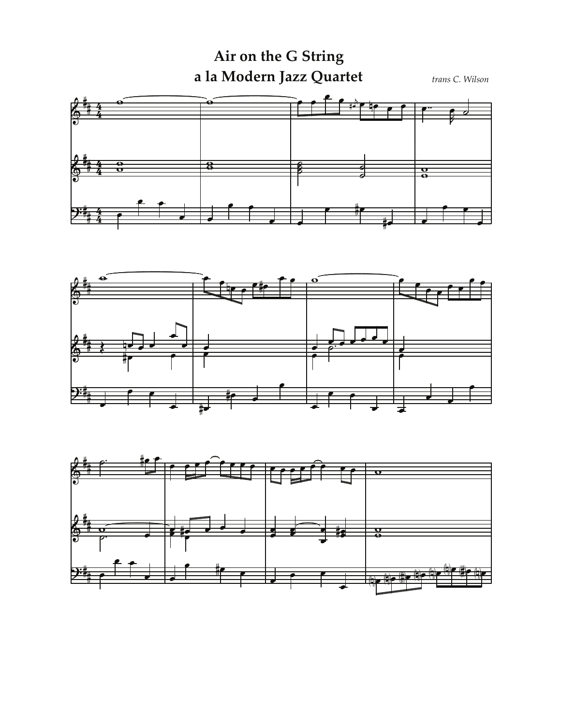



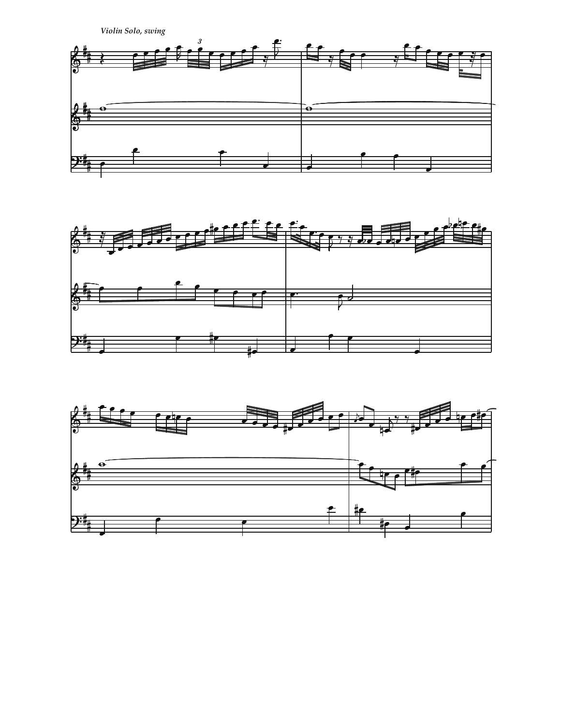



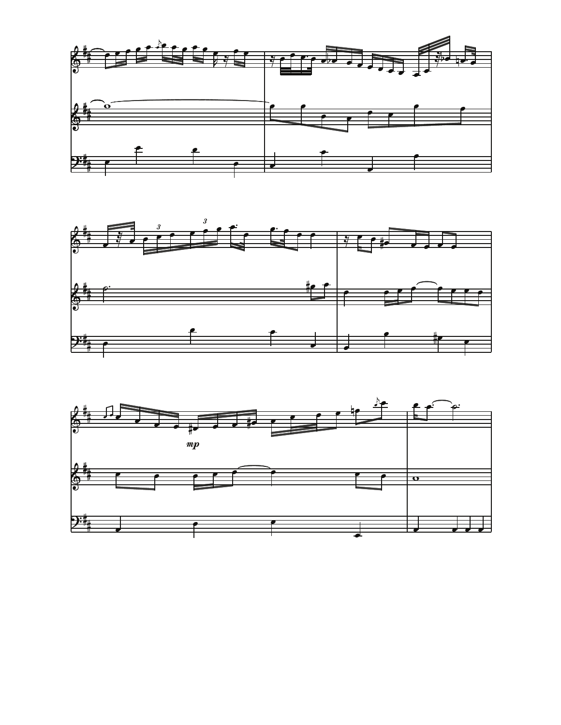



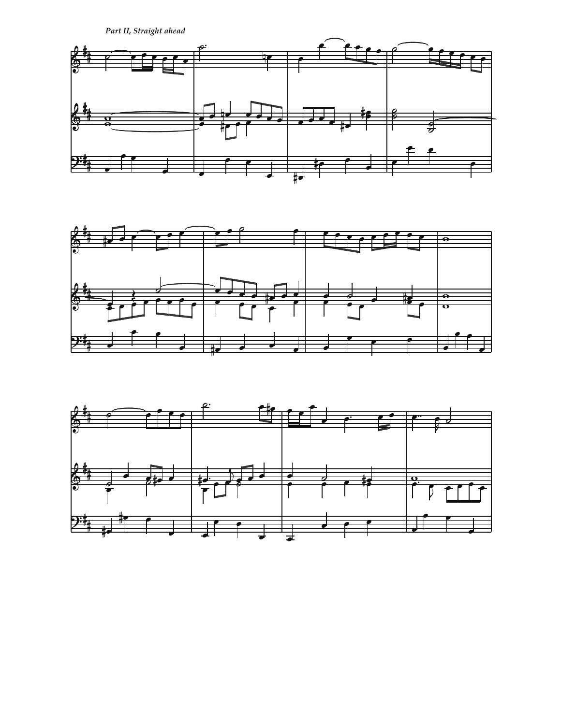Part II, Straight ahead





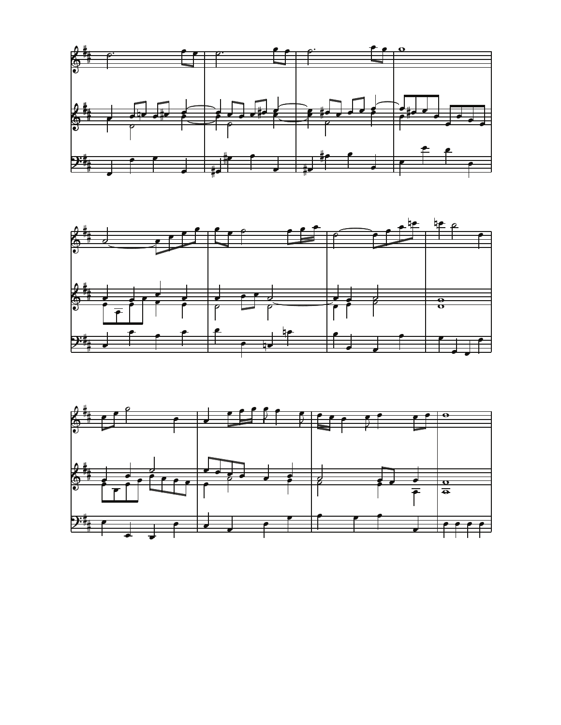



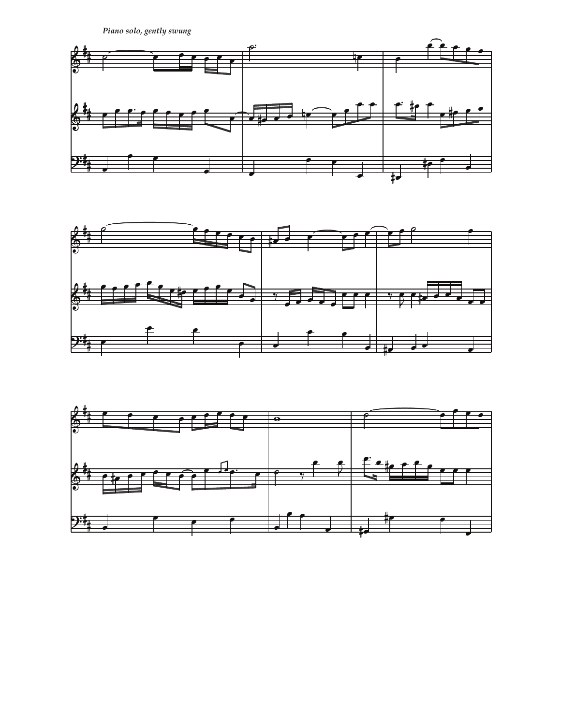Piano solo, gently swung





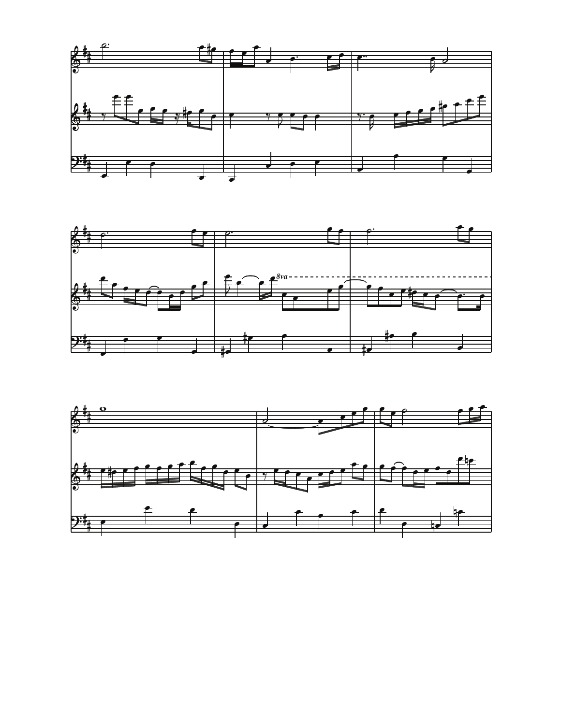